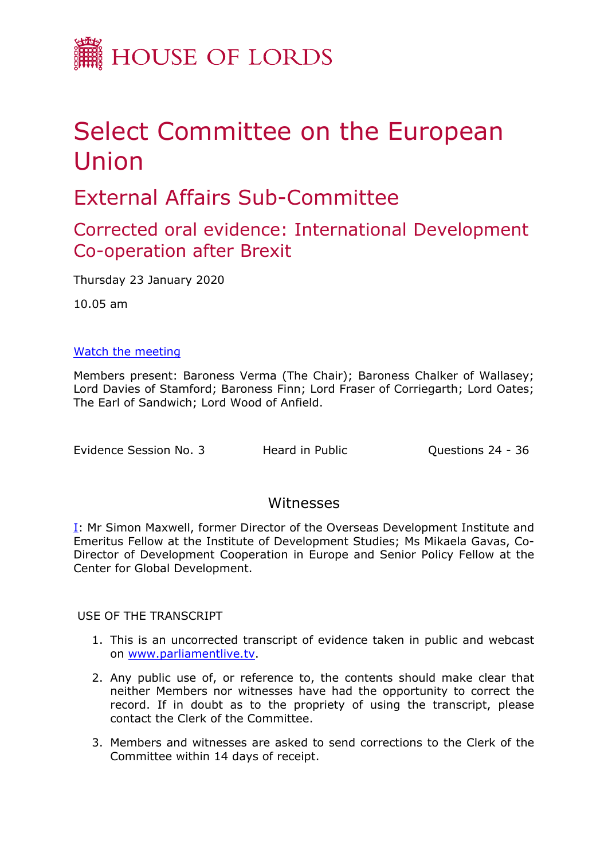

# Select Committee on the European Union

# External Affairs Sub-Committee

# Corrected oral evidence: International Development Co-operation after Brexit

Thursday 23 January 2020

10.05 am

### [Watch](https://www.parliamentlive.tv/Event/Index/e840facb-4fc9-43ed-a69f-d0e71f3f3a86) [the](https://www.parliamentlive.tv/Event/Index/e840facb-4fc9-43ed-a69f-d0e71f3f3a86) [meeting](https://www.parliamentlive.tv/Event/Index/e840facb-4fc9-43ed-a69f-d0e71f3f3a86)

Members present: Baroness Verma (The Chair); Baroness Chalker of Wallasey; Lord Davies of Stamford; Baroness Finn; Lord Fraser of Corriegarth; Lord Oates; The Earl of Sandwich; Lord Wood of Anfield.

Evidence Session No. 3 Heard in Public **Questions 24 - 36** 

### Witnesses

[I:](#page-1-0) Mr Simon Maxwell, former Director of the Overseas Development Institute and Emeritus Fellow at the Institute of Development Studies; Ms Mikaela Gavas, Co-Director of Development Cooperation in Europe and Senior Policy Fellow at the Center for Global Development.

USE OF THE TRANSCRIPT

- 1. This is an uncorrected transcript of evidence taken in public and webcast on [www.parliamentlive.tv.](http://www.parliamentlive.tv/)
- 2. Any public use of, or reference to, the contents should make clear that neither Members nor witnesses have had the opportunity to correct the record. If in doubt as to the propriety of using the transcript, please contact the Clerk of the Committee.
- 3. Members and witnesses are asked to send corrections to the Clerk of the Committee within 14 days of receipt.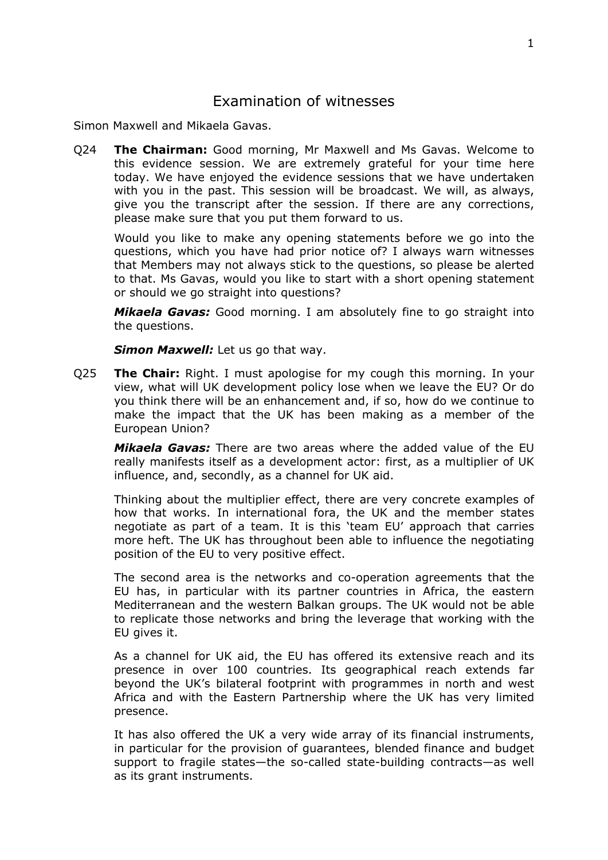## <span id="page-1-0"></span>Examination of witnesses

Simon Maxwell and Mikaela Gavas.

Q24 **The Chairman:** Good morning, Mr Maxwell and Ms Gavas. Welcome to this evidence session. We are extremely grateful for your time here today. We have enjoyed the evidence sessions that we have undertaken with you in the past. This session will be broadcast. We will, as always, give you the transcript after the session. If there are any corrections, please make sure that you put them forward to us.

Would you like to make any opening statements before we go into the questions, which you have had prior notice of? I always warn witnesses that Members may not always stick to the questions, so please be alerted to that. Ms Gavas, would you like to start with a short opening statement or should we go straight into questions?

*Mikaela Gavas:* Good morning. I am absolutely fine to go straight into the questions.

*Simon Maxwell:* Let us go that way.

Q25 **The Chair:** Right. I must apologise for my cough this morning. In your view, what will UK development policy lose when we leave the EU? Or do you think there will be an enhancement and, if so, how do we continue to make the impact that the UK has been making as a member of the European Union?

*Mikaela Gavas:* There are two areas where the added value of the EU really manifests itself as a development actor: first, as a multiplier of UK influence, and, secondly, as a channel for UK aid.

Thinking about the multiplier effect, there are very concrete examples of how that works. In international fora, the UK and the member states negotiate as part of a team. It is this 'team EU' approach that carries more heft. The UK has throughout been able to influence the negotiating position of the EU to very positive effect.

The second area is the networks and co-operation agreements that the EU has, in particular with its partner countries in Africa, the eastern Mediterranean and the western Balkan groups. The UK would not be able to replicate those networks and bring the leverage that working with the EU gives it.

As a channel for UK aid, the EU has offered its extensive reach and its presence in over 100 countries. Its geographical reach extends far beyond the UK's bilateral footprint with programmes in north and west Africa and with the Eastern Partnership where the UK has very limited presence.

It has also offered the UK a very wide array of its financial instruments, in particular for the provision of guarantees, blended finance and budget support to fragile states—the so-called state-building contracts—as well as its grant instruments.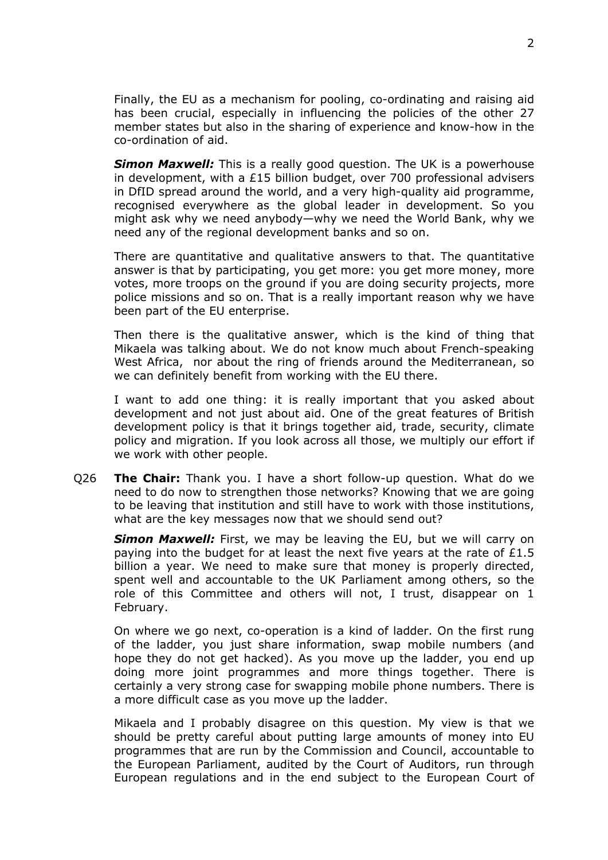Finally, the EU as a mechanism for pooling, co-ordinating and raising aid has been crucial, especially in influencing the policies of the other 27 member states but also in the sharing of experience and know-how in the co-ordination of aid.

*Simon Maxwell:* This is a really good question. The UK is a powerhouse in development, with a £15 billion budget, over 700 professional advisers in DfID spread around the world, and a very high-quality aid programme, recognised everywhere as the global leader in development. So you might ask why we need anybody—why we need the World Bank, why we need any of the regional development banks and so on.

There are quantitative and qualitative answers to that. The quantitative answer is that by participating, you get more: you get more money, more votes, more troops on the ground if you are doing security projects, more police missions and so on. That is a really important reason why we have been part of the EU enterprise.

Then there is the qualitative answer, which is the kind of thing that Mikaela was talking about. We do not know much about French-speaking West Africa, nor about the ring of friends around the Mediterranean, so we can definitely benefit from working with the EU there.

I want to add one thing: it is really important that you asked about development and not just about aid. One of the great features of British development policy is that it brings together aid, trade, security, climate policy and migration. If you look across all those, we multiply our effort if we work with other people.

Q26 **The Chair:** Thank you. I have a short follow-up question. What do we need to do now to strengthen those networks? Knowing that we are going to be leaving that institution and still have to work with those institutions, what are the key messages now that we should send out?

*Simon Maxwell:* First, we may be leaving the EU, but we will carry on paying into the budget for at least the next five years at the rate of £1.5 billion a year. We need to make sure that money is properly directed, spent well and accountable to the UK Parliament among others, so the role of this Committee and others will not, I trust, disappear on 1 February.

On where we go next, co-operation is a kind of ladder. On the first rung of the ladder, you just share information, swap mobile numbers (and hope they do not get hacked). As you move up the ladder, you end up doing more joint programmes and more things together. There is certainly a very strong case for swapping mobile phone numbers. There is a more difficult case as you move up the ladder.

Mikaela and I probably disagree on this question. My view is that we should be pretty careful about putting large amounts of money into EU programmes that are run by the Commission and Council, accountable to the European Parliament, audited by the Court of Auditors, run through European regulations and in the end subject to the European Court of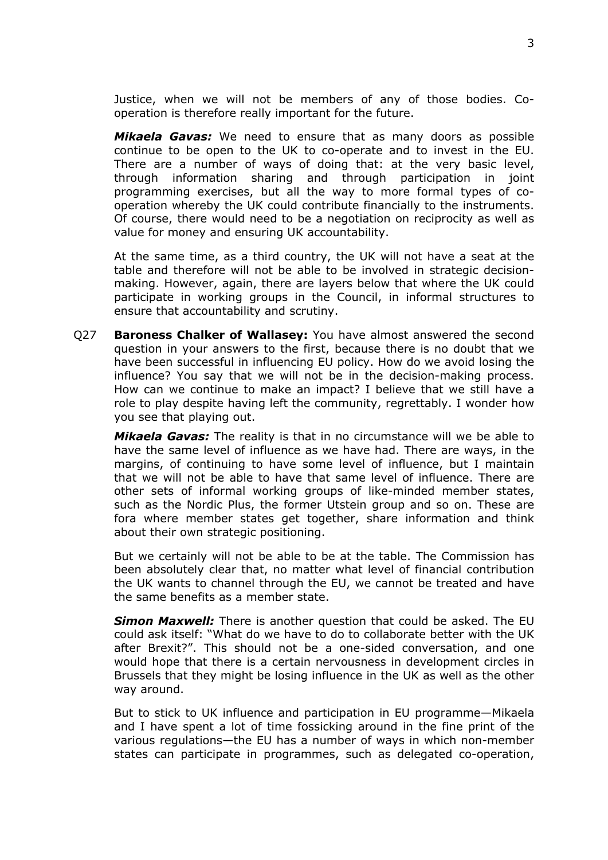Justice, when we will not be members of any of those bodies. Cooperation is therefore really important for the future.

*Mikaela Gavas:* We need to ensure that as many doors as possible continue to be open to the UK to co-operate and to invest in the EU. There are a number of ways of doing that: at the very basic level, through information sharing and through participation in joint programming exercises, but all the way to more formal types of cooperation whereby the UK could contribute financially to the instruments. Of course, there would need to be a negotiation on reciprocity as well as value for money and ensuring UK accountability.

At the same time, as a third country, the UK will not have a seat at the table and therefore will not be able to be involved in strategic decisionmaking. However, again, there are layers below that where the UK could participate in working groups in the Council, in informal structures to ensure that accountability and scrutiny.

Q27 **Baroness Chalker of Wallasey:** You have almost answered the second question in your answers to the first, because there is no doubt that we have been successful in influencing EU policy. How do we avoid losing the influence? You say that we will not be in the decision-making process. How can we continue to make an impact? I believe that we still have a role to play despite having left the community, regrettably. I wonder how you see that playing out.

*Mikaela Gavas:* The reality is that in no circumstance will we be able to have the same level of influence as we have had. There are ways, in the margins, of continuing to have some level of influence, but I maintain that we will not be able to have that same level of influence. There are other sets of informal working groups of like-minded member states, such as the Nordic Plus, the former Utstein group and so on. These are fora where member states get together, share information and think about their own strategic positioning.

But we certainly will not be able to be at the table. The Commission has been absolutely clear that, no matter what level of financial contribution the UK wants to channel through the EU, we cannot be treated and have the same benefits as a member state.

*Simon Maxwell:* There is another question that could be asked. The EU could ask itself: "What do we have to do to collaborate better with the UK after Brexit?". This should not be a one-sided conversation, and one would hope that there is a certain nervousness in development circles in Brussels that they might be losing influence in the UK as well as the other way around.

But to stick to UK influence and participation in EU programme—Mikaela and I have spent a lot of time fossicking around in the fine print of the various regulations—the EU has a number of ways in which non-member states can participate in programmes, such as delegated co-operation,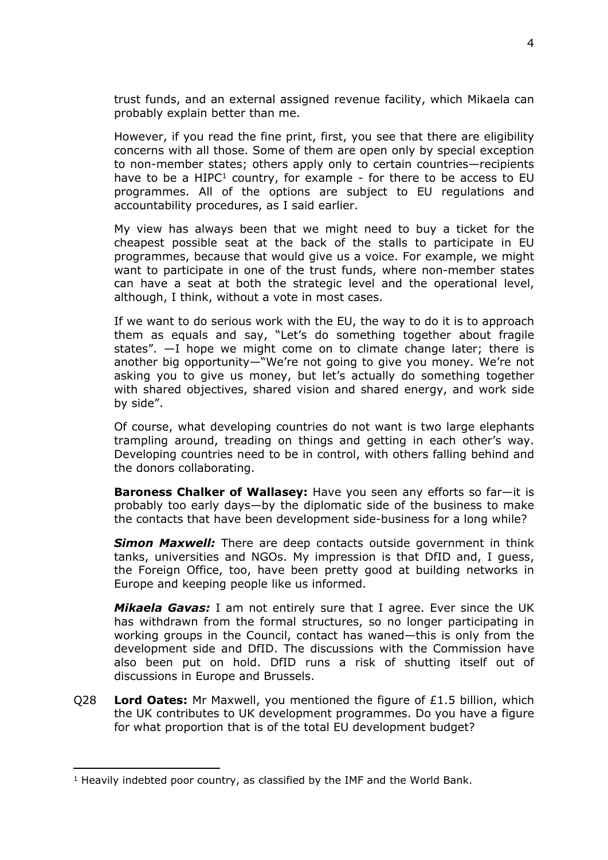trust funds, and an external assigned revenue facility, which Mikaela can probably explain better than me.

However, if you read the fine print, first, you see that there are eligibility concerns with all those. Some of them are open only by special exception to non-member states; others apply only to certain countries—recipients have to be a  $HIPC<sup>1</sup>$  country, for example - for there to be access to EU programmes. All of the options are subject to EU regulations and accountability procedures, as I said earlier.

My view has always been that we might need to buy a ticket for the cheapest possible seat at the back of the stalls to participate in EU programmes, because that would give us a voice. For example, we might want to participate in one of the trust funds, where non-member states can have a seat at both the strategic level and the operational level, although, I think, without a vote in most cases.

If we want to do serious work with the EU, the way to do it is to approach them as equals and say, "Let's do something together about fragile states". —I hope we might come on to climate change later; there is another big opportunity—"We're not going to give you money. We're not asking you to give us money, but let's actually do something together with shared objectives, shared vision and shared energy, and work side by side".

Of course, what developing countries do not want is two large elephants trampling around, treading on things and getting in each other's way. Developing countries need to be in control, with others falling behind and the donors collaborating.

**Baroness Chalker of Wallasey:** Have you seen any efforts so far—it is probably too early days—by the diplomatic side of the business to make the contacts that have been development side-business for a long while?

*Simon Maxwell:* There are deep contacts outside government in think tanks, universities and NGOs. My impression is that DfID and, I guess, the Foreign Office, too, have been pretty good at building networks in Europe and keeping people like us informed.

*Mikaela Gavas:* I am not entirely sure that I agree. Ever since the UK has withdrawn from the formal structures, so no longer participating in working groups in the Council, contact has waned—this is only from the development side and DfID. The discussions with the Commission have also been put on hold. DfID runs a risk of shutting itself out of discussions in Europe and Brussels.

Q28 **Lord Oates:** Mr Maxwell, you mentioned the figure of £1.5 billion, which the UK contributes to UK development programmes. Do you have a figure for what proportion that is of the total EU development budget?

<sup>1</sup> Heavily indebted poor country, as classified by the IMF and the World Bank.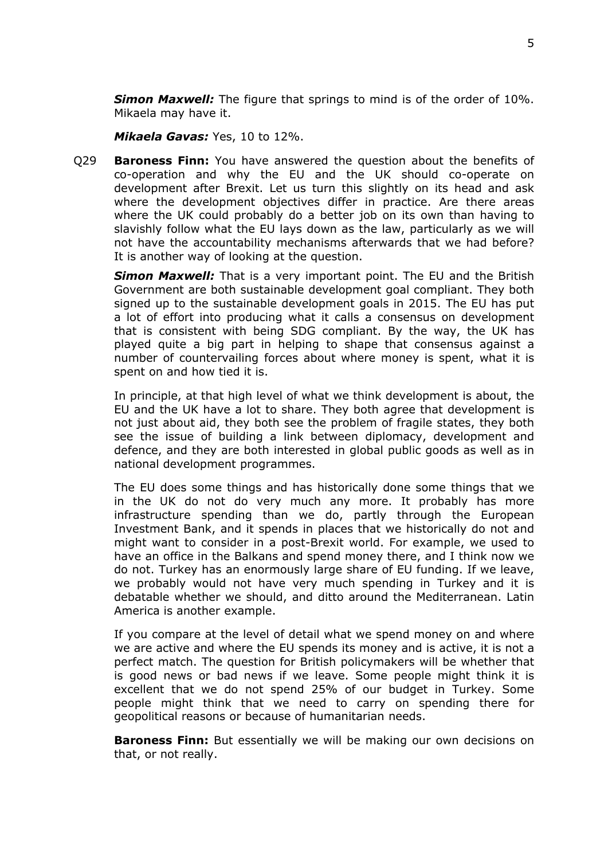*Simon Maxwell:* The figure that springs to mind is of the order of 10%. Mikaela may have it.

*Mikaela Gavas:* Yes, 10 to 12%.

Q29 **Baroness Finn:** You have answered the question about the benefits of co-operation and why the EU and the UK should co-operate on development after Brexit. Let us turn this slightly on its head and ask where the development objectives differ in practice. Are there areas where the UK could probably do a better job on its own than having to slavishly follow what the EU lays down as the law, particularly as we will not have the accountability mechanisms afterwards that we had before? It is another way of looking at the question.

**Simon Maxwell:** That is a very important point. The EU and the British Government are both sustainable development goal compliant. They both signed up to the sustainable development goals in 2015. The EU has put a lot of effort into producing what it calls a consensus on development that is consistent with being SDG compliant. By the way, the UK has played quite a big part in helping to shape that consensus against a number of countervailing forces about where money is spent, what it is spent on and how tied it is.

In principle, at that high level of what we think development is about, the EU and the UK have a lot to share. They both agree that development is not just about aid, they both see the problem of fragile states, they both see the issue of building a link between diplomacy, development and defence, and they are both interested in global public goods as well as in national development programmes.

The EU does some things and has historically done some things that we in the UK do not do very much any more. It probably has more infrastructure spending than we do, partly through the European Investment Bank, and it spends in places that we historically do not and might want to consider in a post-Brexit world. For example, we used to have an office in the Balkans and spend money there, and I think now we do not. Turkey has an enormously large share of EU funding. If we leave, we probably would not have very much spending in Turkey and it is debatable whether we should, and ditto around the Mediterranean. Latin America is another example.

If you compare at the level of detail what we spend money on and where we are active and where the EU spends its money and is active, it is not a perfect match. The question for British policymakers will be whether that is good news or bad news if we leave. Some people might think it is excellent that we do not spend 25% of our budget in Turkey. Some people might think that we need to carry on spending there for geopolitical reasons or because of humanitarian needs.

**Baroness Finn:** But essentially we will be making our own decisions on that, or not really.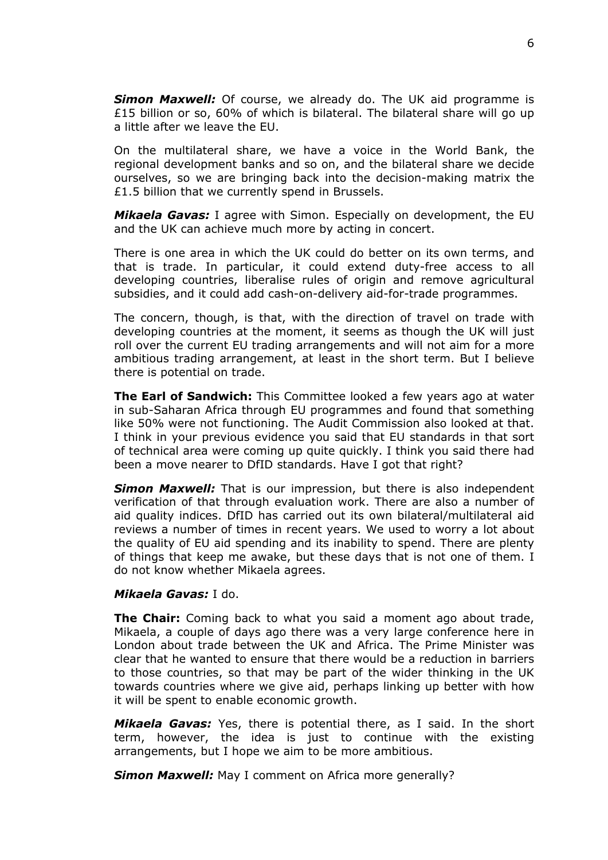*Simon Maxwell:* Of course, we already do. The UK aid programme is £15 billion or so, 60% of which is bilateral. The bilateral share will go up a little after we leave the EU.

On the multilateral share, we have a voice in the World Bank, the regional development banks and so on, and the bilateral share we decide ourselves, so we are bringing back into the decision-making matrix the £1.5 billion that we currently spend in Brussels.

*Mikaela Gavas:* I agree with Simon. Especially on development, the EU and the UK can achieve much more by acting in concert.

There is one area in which the UK could do better on its own terms, and that is trade. In particular, it could extend duty-free access to all developing countries, liberalise rules of origin and remove agricultural subsidies, and it could add cash-on-delivery aid-for-trade programmes.

The concern, though, is that, with the direction of travel on trade with developing countries at the moment, it seems as though the UK will just roll over the current EU trading arrangements and will not aim for a more ambitious trading arrangement, at least in the short term. But I believe there is potential on trade.

**The Earl of Sandwich:** This Committee looked a few years ago at water in sub-Saharan Africa through EU programmes and found that something like 50% were not functioning. The Audit Commission also looked at that. I think in your previous evidence you said that EU standards in that sort of technical area were coming up quite quickly. I think you said there had been a move nearer to DfID standards. Have I got that right?

*Simon Maxwell:* That is our impression, but there is also independent verification of that through evaluation work. There are also a number of aid quality indices. DfID has carried out its own bilateral/multilateral aid reviews a number of times in recent years. We used to worry a lot about the quality of EU aid spending and its inability to spend. There are plenty of things that keep me awake, but these days that is not one of them. I do not know whether Mikaela agrees.

#### *Mikaela Gavas:* I do.

**The Chair:** Coming back to what you said a moment ago about trade, Mikaela, a couple of days ago there was a very large conference here in London about trade between the UK and Africa. The Prime Minister was clear that he wanted to ensure that there would be a reduction in barriers to those countries, so that may be part of the wider thinking in the UK towards countries where we give aid, perhaps linking up better with how it will be spent to enable economic growth.

*Mikaela Gavas:* Yes, there is potential there, as I said. In the short term, however, the idea is just to continue with the existing arrangements, but I hope we aim to be more ambitious.

**Simon Maxwell:** May I comment on Africa more generally?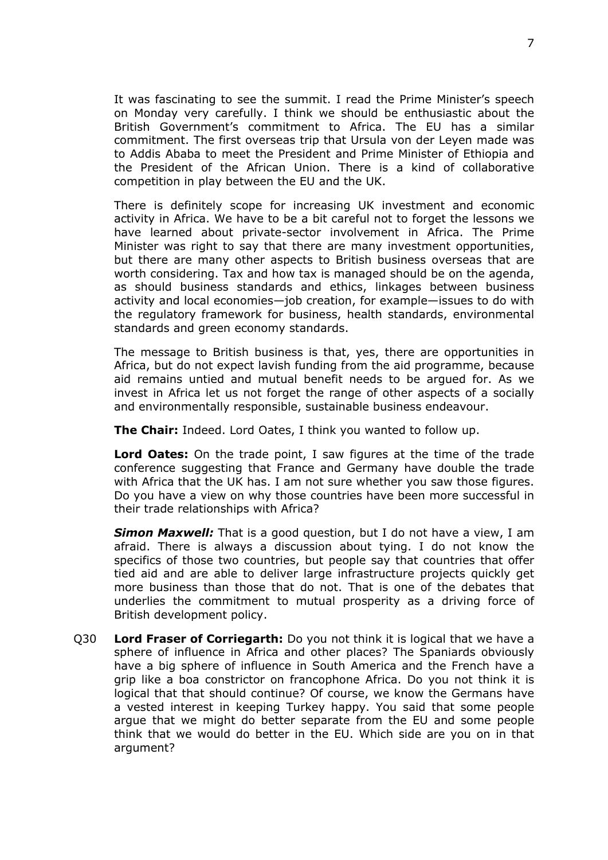It was fascinating to see the summit. I read the Prime Minister's speech on Monday very carefully. I think we should be enthusiastic about the British Government's commitment to Africa. The EU has a similar commitment. The first overseas trip that Ursula von der Leyen made was to Addis Ababa to meet the President and Prime Minister of Ethiopia and the President of the African Union. There is a kind of collaborative competition in play between the EU and the UK.

There is definitely scope for increasing UK investment and economic activity in Africa. We have to be a bit careful not to forget the lessons we have learned about private-sector involvement in Africa. The Prime Minister was right to say that there are many investment opportunities, but there are many other aspects to British business overseas that are worth considering. Tax and how tax is managed should be on the agenda, as should business standards and ethics, linkages between business activity and local economies—job creation, for example—issues to do with the regulatory framework for business, health standards, environmental standards and green economy standards.

The message to British business is that, yes, there are opportunities in Africa, but do not expect lavish funding from the aid programme, because aid remains untied and mutual benefit needs to be argued for. As we invest in Africa let us not forget the range of other aspects of a socially and environmentally responsible, sustainable business endeavour.

**The Chair:** Indeed. Lord Oates, I think you wanted to follow up.

**Lord Oates:** On the trade point, I saw figures at the time of the trade conference suggesting that France and Germany have double the trade with Africa that the UK has. I am not sure whether you saw those figures. Do you have a view on why those countries have been more successful in their trade relationships with Africa?

*Simon Maxwell:* That is a good question, but I do not have a view, I am afraid. There is always a discussion about tying. I do not know the specifics of those two countries, but people say that countries that offer tied aid and are able to deliver large infrastructure projects quickly get more business than those that do not. That is one of the debates that underlies the commitment to mutual prosperity as a driving force of British development policy.

Q30 **Lord Fraser of Corriegarth:** Do you not think it is logical that we have a sphere of influence in Africa and other places? The Spaniards obviously have a big sphere of influence in South America and the French have a grip like a boa constrictor on francophone Africa. Do you not think it is logical that that should continue? Of course, we know the Germans have a vested interest in keeping Turkey happy. You said that some people argue that we might do better separate from the EU and some people think that we would do better in the EU. Which side are you on in that argument?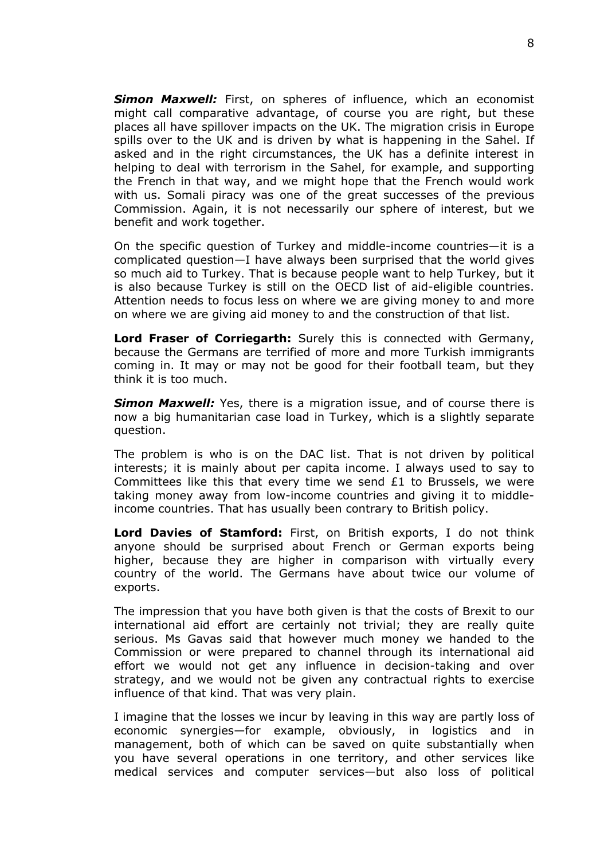*Simon Maxwell:* First, on spheres of influence, which an economist might call comparative advantage, of course you are right, but these places all have spillover impacts on the UK. The migration crisis in Europe spills over to the UK and is driven by what is happening in the Sahel. If asked and in the right circumstances, the UK has a definite interest in helping to deal with terrorism in the Sahel, for example, and supporting the French in that way, and we might hope that the French would work with us. Somali piracy was one of the great successes of the previous Commission. Again, it is not necessarily our sphere of interest, but we benefit and work together.

On the specific question of Turkey and middle-income countries—it is a complicated question—I have always been surprised that the world gives so much aid to Turkey. That is because people want to help Turkey, but it is also because Turkey is still on the OECD list of aid-eligible countries. Attention needs to focus less on where we are giving money to and more on where we are giving aid money to and the construction of that list.

**Lord Fraser of Corriegarth:** Surely this is connected with Germany, because the Germans are terrified of more and more Turkish immigrants coming in. It may or may not be good for their football team, but they think it is too much.

**Simon Maxwell:** Yes, there is a migration issue, and of course there is now a big humanitarian case load in Turkey, which is a slightly separate question.

The problem is who is on the DAC list. That is not driven by political interests; it is mainly about per capita income. I always used to say to Committees like this that every time we send  $£1$  to Brussels, we were taking money away from low-income countries and giving it to middleincome countries. That has usually been contrary to British policy.

**Lord Davies of Stamford:** First, on British exports, I do not think anyone should be surprised about French or German exports being higher, because they are higher in comparison with virtually every country of the world. The Germans have about twice our volume of exports.

The impression that you have both given is that the costs of Brexit to our international aid effort are certainly not trivial; they are really quite serious. Ms Gavas said that however much money we handed to the Commission or were prepared to channel through its international aid effort we would not get any influence in decision-taking and over strategy, and we would not be given any contractual rights to exercise influence of that kind. That was very plain.

I imagine that the losses we incur by leaving in this way are partly loss of economic synergies—for example, obviously, in logistics and in management, both of which can be saved on quite substantially when you have several operations in one territory, and other services like medical services and computer services—but also loss of political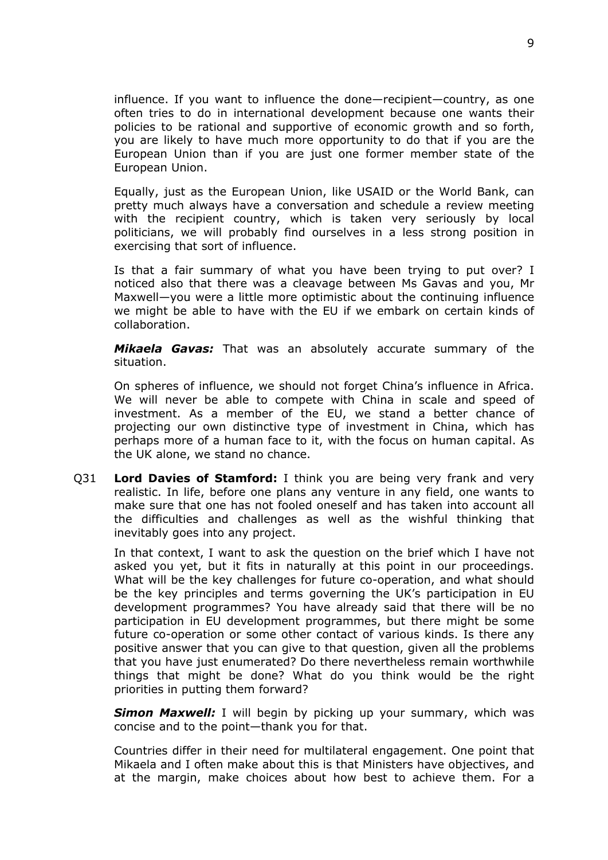influence. If you want to influence the done—recipient—country, as one often tries to do in international development because one wants their policies to be rational and supportive of economic growth and so forth, you are likely to have much more opportunity to do that if you are the European Union than if you are just one former member state of the European Union.

Equally, just as the European Union, like USAID or the World Bank, can pretty much always have a conversation and schedule a review meeting with the recipient country, which is taken very seriously by local politicians, we will probably find ourselves in a less strong position in exercising that sort of influence.

Is that a fair summary of what you have been trying to put over? I noticed also that there was a cleavage between Ms Gavas and you, Mr Maxwell—you were a little more optimistic about the continuing influence we might be able to have with the EU if we embark on certain kinds of collaboration.

*Mikaela Gavas:* That was an absolutely accurate summary of the situation.

On spheres of influence, we should not forget China's influence in Africa. We will never be able to compete with China in scale and speed of investment. As a member of the EU, we stand a better chance of projecting our own distinctive type of investment in China, which has perhaps more of a human face to it, with the focus on human capital. As the UK alone, we stand no chance.

Q31 **Lord Davies of Stamford:** I think you are being very frank and very realistic. In life, before one plans any venture in any field, one wants to make sure that one has not fooled oneself and has taken into account all the difficulties and challenges as well as the wishful thinking that inevitably goes into any project.

In that context, I want to ask the question on the brief which I have not asked you yet, but it fits in naturally at this point in our proceedings. What will be the key challenges for future co-operation, and what should be the key principles and terms governing the UK's participation in EU development programmes? You have already said that there will be no participation in EU development programmes, but there might be some future co-operation or some other contact of various kinds. Is there any positive answer that you can give to that question, given all the problems that you have just enumerated? Do there nevertheless remain worthwhile things that might be done? What do you think would be the right priorities in putting them forward?

*Simon Maxwell:* I will begin by picking up your summary, which was concise and to the point—thank you for that.

Countries differ in their need for multilateral engagement. One point that Mikaela and I often make about this is that Ministers have objectives, and at the margin, make choices about how best to achieve them. For a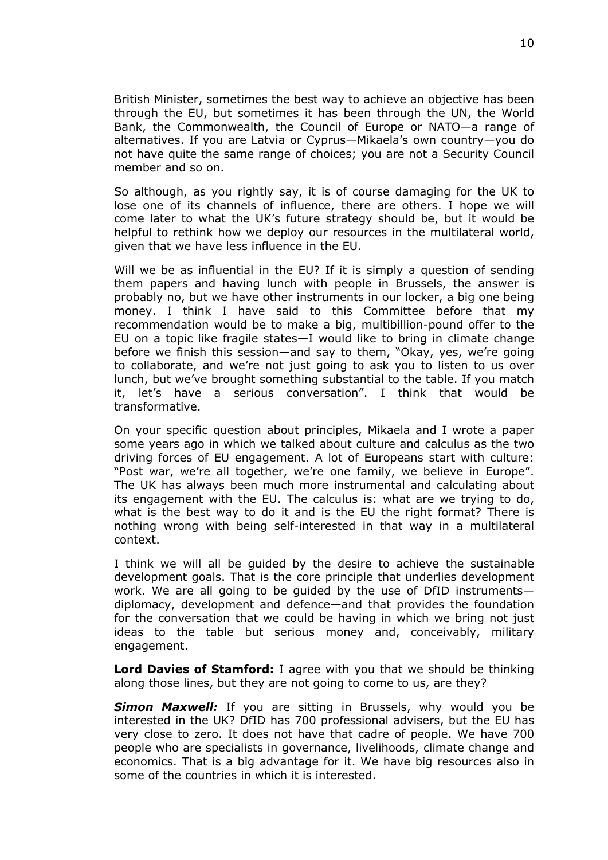British Minister, sometimes the best way to achieve an objective has been through the EU, but sometimes it has been through the UN, the World Bank, the Commonwealth, the Council of Europe or NATO—a range of alternatives. If you are Latvia or Cyprus—Mikaela's own country—you do not have quite the same range of choices; you are not a Security Council member and so on.

So although, as you rightly say, it is of course damaging for the UK to lose one of its channels of influence, there are others. I hope we will come later to what the UK's future strategy should be, but it would be helpful to rethink how we deploy our resources in the multilateral world, given that we have less influence in the EU.

Will we be as influential in the EU? If it is simply a question of sending them papers and having lunch with people in Brussels, the answer is probably no, but we have other instruments in our locker, a big one being money. I think I have said to this Committee before that my recommendation would be to make a big, multibillion-pound offer to the EU on a topic like fragile states—I would like to bring in climate change before we finish this session—and say to them, "Okay, yes, we're going to collaborate, and we're not just going to ask you to listen to us over lunch, but we've brought something substantial to the table. If you match it, let's have a serious conversation". I think that would be transformative.

On your specific question about principles, Mikaela and I wrote a paper some years ago in which we talked about culture and calculus as the two driving forces of EU engagement. A lot of Europeans start with culture: "Post war, we're all together, we're one family, we believe in Europe". The UK has always been much more instrumental and calculating about its engagement with the EU. The calculus is: what are we trying to do, what is the best way to do it and is the EU the right format? There is nothing wrong with being self-interested in that way in a multilateral context.

I think we will all be guided by the desire to achieve the sustainable development goals. That is the core principle that underlies development work. We are all going to be guided by the use of DfID instruments diplomacy, development and defence—and that provides the foundation for the conversation that we could be having in which we bring not just ideas to the table but serious money and, conceivably, military engagement.

**Lord Davies of Stamford:** I agree with you that we should be thinking along those lines, but they are not going to come to us, are they?

**Simon Maxwell:** If you are sitting in Brussels, why would you be interested in the UK? DfID has 700 professional advisers, but the EU has very close to zero. It does not have that cadre of people. We have 700 people who are specialists in governance, livelihoods, climate change and economics. That is a big advantage for it. We have big resources also in some of the countries in which it is interested.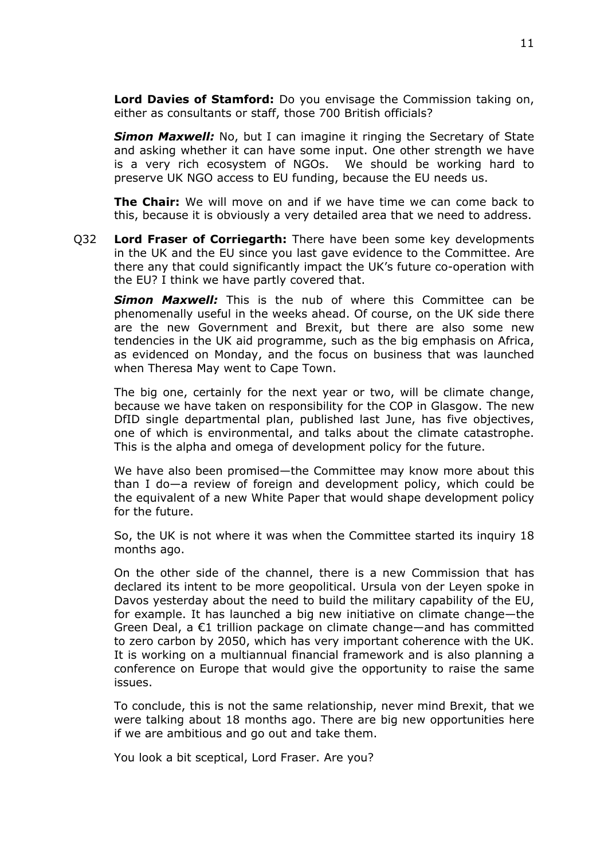**Lord Davies of Stamford:** Do you envisage the Commission taking on, either as consultants or staff, those 700 British officials?

*Simon Maxwell:* No, but I can imagine it ringing the Secretary of State and asking whether it can have some input. One other strength we have is a very rich ecosystem of NGOs. We should be working hard to preserve UK NGO access to EU funding, because the EU needs us.

**The Chair:** We will move on and if we have time we can come back to this, because it is obviously a very detailed area that we need to address.

Q32 **Lord Fraser of Corriegarth:** There have been some key developments in the UK and the EU since you last gave evidence to the Committee. Are there any that could significantly impact the UK's future co-operation with the EU? I think we have partly covered that.

*Simon Maxwell:* This is the nub of where this Committee can be phenomenally useful in the weeks ahead. Of course, on the UK side there are the new Government and Brexit, but there are also some new tendencies in the UK aid programme, such as the big emphasis on Africa, as evidenced on Monday, and the focus on business that was launched when Theresa May went to Cape Town.

The big one, certainly for the next year or two, will be climate change, because we have taken on responsibility for the COP in Glasgow. The new DfID single departmental plan, published last June, has five objectives, one of which is environmental, and talks about the climate catastrophe. This is the alpha and omega of development policy for the future.

We have also been promised—the Committee may know more about this than I do—a review of foreign and development policy, which could be the equivalent of a new White Paper that would shape development policy for the future.

So, the UK is not where it was when the Committee started its inquiry 18 months ago.

On the other side of the channel, there is a new Commission that has declared its intent to be more geopolitical. Ursula von der Leyen spoke in Davos yesterday about the need to build the military capability of the EU, for example. It has launched a big new initiative on climate change—the Green Deal, a €1 trillion package on climate change—and has committed to zero carbon by 2050, which has very important coherence with the UK. It is working on a multiannual financial framework and is also planning a conference on Europe that would give the opportunity to raise the same issues.

To conclude, this is not the same relationship, never mind Brexit, that we were talking about 18 months ago. There are big new opportunities here if we are ambitious and go out and take them.

You look a bit sceptical, Lord Fraser. Are you?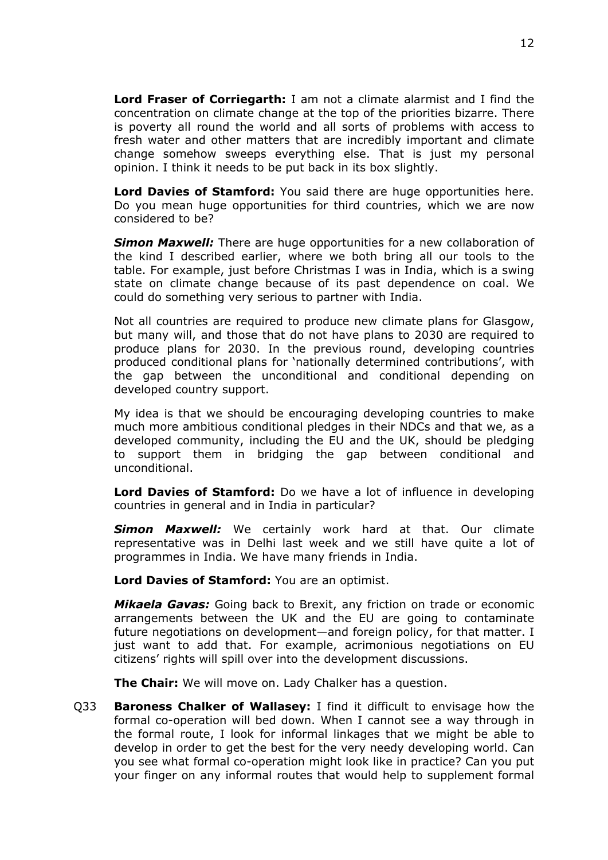**Lord Fraser of Corriegarth:** I am not a climate alarmist and I find the concentration on climate change at the top of the priorities bizarre. There is poverty all round the world and all sorts of problems with access to fresh water and other matters that are incredibly important and climate change somehow sweeps everything else. That is just my personal opinion. I think it needs to be put back in its box slightly.

**Lord Davies of Stamford:** You said there are huge opportunities here. Do you mean huge opportunities for third countries, which we are now considered to be?

*Simon Maxwell:* There are huge opportunities for a new collaboration of the kind I described earlier, where we both bring all our tools to the table. For example, just before Christmas I was in India, which is a swing state on climate change because of its past dependence on coal. We could do something very serious to partner with India.

Not all countries are required to produce new climate plans for Glasgow, but many will, and those that do not have plans to 2030 are required to produce plans for 2030. In the previous round, developing countries produced conditional plans for 'nationally determined contributions', with the gap between the unconditional and conditional depending on developed country support.

My idea is that we should be encouraging developing countries to make much more ambitious conditional pledges in their NDCs and that we, as a developed community, including the EU and the UK, should be pledging to support them in bridging the gap between conditional and unconditional.

**Lord Davies of Stamford:** Do we have a lot of influence in developing countries in general and in India in particular?

*Simon Maxwell:* We certainly work hard at that. Our climate representative was in Delhi last week and we still have quite a lot of programmes in India. We have many friends in India.

**Lord Davies of Stamford:** You are an optimist.

*Mikaela Gavas:* Going back to Brexit, any friction on trade or economic arrangements between the UK and the EU are going to contaminate future negotiations on development—and foreign policy, for that matter. I just want to add that. For example, acrimonious negotiations on EU citizens' rights will spill over into the development discussions.

**The Chair:** We will move on. Lady Chalker has a question.

Q33 **Baroness Chalker of Wallasey:** I find it difficult to envisage how the formal co-operation will bed down. When I cannot see a way through in the formal route, I look for informal linkages that we might be able to develop in order to get the best for the very needy developing world. Can you see what formal co-operation might look like in practice? Can you put your finger on any informal routes that would help to supplement formal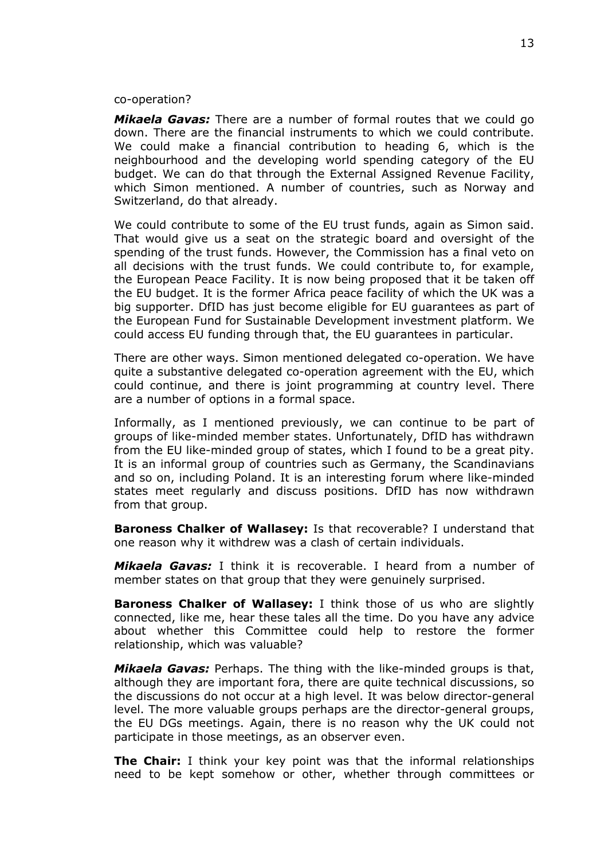#### co-operation?

*Mikaela Gavas:* There are a number of formal routes that we could go down. There are the financial instruments to which we could contribute. We could make a financial contribution to heading 6, which is the neighbourhood and the developing world spending category of the EU budget. We can do that through the External Assigned Revenue Facility, which Simon mentioned. A number of countries, such as Norway and Switzerland, do that already.

We could contribute to some of the EU trust funds, again as Simon said. That would give us a seat on the strategic board and oversight of the spending of the trust funds. However, the Commission has a final veto on all decisions with the trust funds. We could contribute to, for example, the European Peace Facility. It is now being proposed that it be taken off the EU budget. It is the former Africa peace facility of which the UK was a big supporter. DfID has just become eligible for EU guarantees as part of the European Fund for Sustainable Development investment platform. We could access EU funding through that, the EU guarantees in particular.

There are other ways. Simon mentioned delegated co-operation. We have quite a substantive delegated co-operation agreement with the EU, which could continue, and there is joint programming at country level. There are a number of options in a formal space.

Informally, as I mentioned previously, we can continue to be part of groups of like-minded member states. Unfortunately, DfID has withdrawn from the EU like-minded group of states, which I found to be a great pity. It is an informal group of countries such as Germany, the Scandinavians and so on, including Poland. It is an interesting forum where like-minded states meet regularly and discuss positions. DfID has now withdrawn from that group.

**Baroness Chalker of Wallasey:** Is that recoverable? I understand that one reason why it withdrew was a clash of certain individuals.

*Mikaela Gavas:* I think it is recoverable. I heard from a number of member states on that group that they were genuinely surprised.

**Baroness Chalker of Wallasey:** I think those of us who are slightly connected, like me, hear these tales all the time. Do you have any advice about whether this Committee could help to restore the former relationship, which was valuable?

*Mikaela Gavas:* Perhaps. The thing with the like-minded groups is that, although they are important fora, there are quite technical discussions, so the discussions do not occur at a high level. It was below director-general level. The more valuable groups perhaps are the director-general groups, the EU DGs meetings. Again, there is no reason why the UK could not participate in those meetings, as an observer even.

**The Chair:** I think your key point was that the informal relationships need to be kept somehow or other, whether through committees or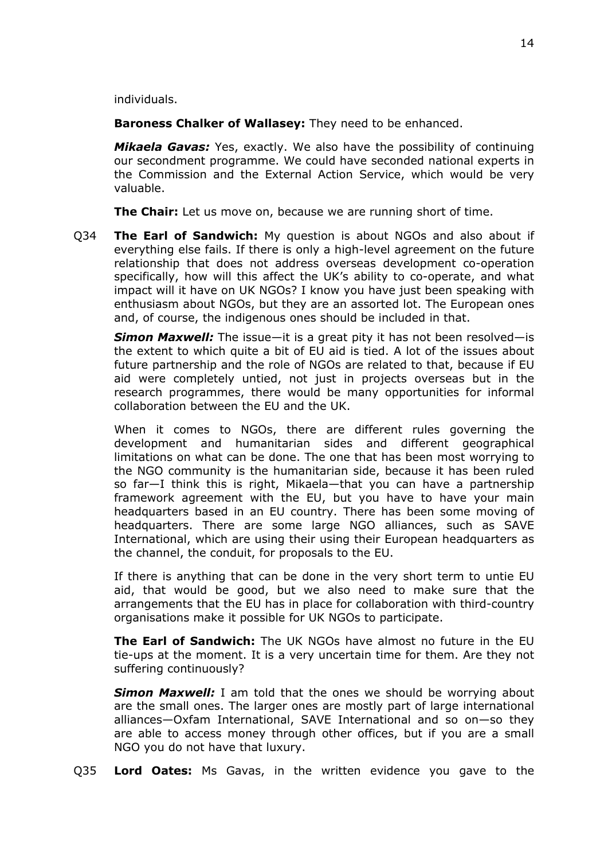individuals.

**Baroness Chalker of Wallasey:** They need to be enhanced.

*Mikaela Gavas:* Yes, exactly. We also have the possibility of continuing our secondment programme. We could have seconded national experts in the Commission and the External Action Service, which would be very valuable.

**The Chair:** Let us move on, because we are running short of time.

Q34 **The Earl of Sandwich:** My question is about NGOs and also about if everything else fails. If there is only a high-level agreement on the future relationship that does not address overseas development co-operation specifically, how will this affect the UK's ability to co-operate, and what impact will it have on UK NGOs? I know you have just been speaking with enthusiasm about NGOs, but they are an assorted lot. The European ones and, of course, the indigenous ones should be included in that.

*Simon Maxwell:* The issue—it is a great pity it has not been resolved—is the extent to which quite a bit of EU aid is tied. A lot of the issues about future partnership and the role of NGOs are related to that, because if EU aid were completely untied, not just in projects overseas but in the research programmes, there would be many opportunities for informal collaboration between the EU and the UK.

When it comes to NGOs, there are different rules governing the development and humanitarian sides and different geographical limitations on what can be done. The one that has been most worrying to the NGO community is the humanitarian side, because it has been ruled so far—I think this is right, Mikaela—that you can have a partnership framework agreement with the EU, but you have to have your main headquarters based in an EU country. There has been some moving of headquarters. There are some large NGO alliances, such as SAVE International, which are using their using their European headquarters as the channel, the conduit, for proposals to the EU.

If there is anything that can be done in the very short term to untie EU aid, that would be good, but we also need to make sure that the arrangements that the EU has in place for collaboration with third-country organisations make it possible for UK NGOs to participate.

**The Earl of Sandwich:** The UK NGOs have almost no future in the EU tie-ups at the moment. It is a very uncertain time for them. Are they not suffering continuously?

*Simon Maxwell:* I am told that the ones we should be worrying about are the small ones. The larger ones are mostly part of large international alliances—Oxfam International, SAVE International and so on—so they are able to access money through other offices, but if you are a small NGO you do not have that luxury.

Q35 **Lord Oates:** Ms Gavas, in the written evidence you gave to the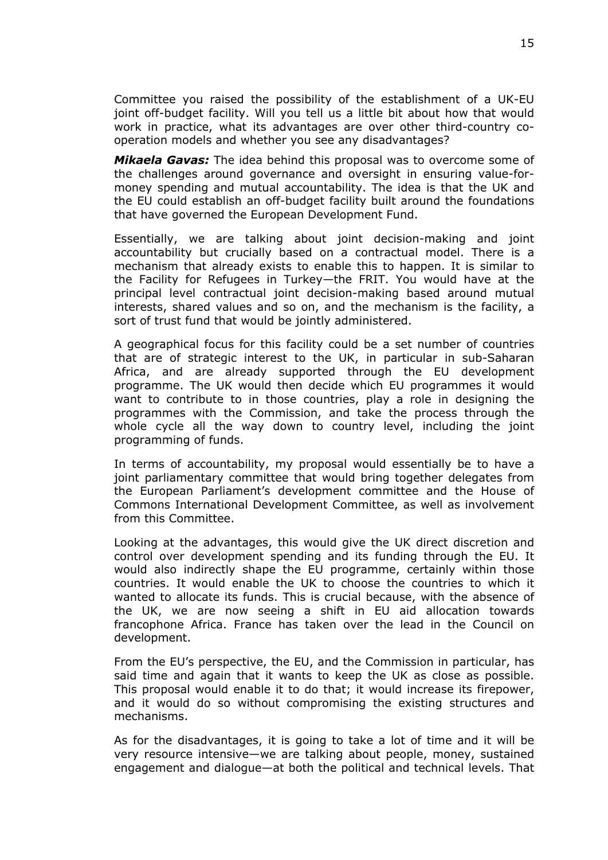Committee you raised the possibility of the establishment of a UK-EU joint off-budget facility. Will you tell us a little bit about how that would work in practice, what its advantages are over other third-country cooperation models and whether you see any disadvantages?

*Mikaela Gavas:* The idea behind this proposal was to overcome some of the challenges around governance and oversight in ensuring value-formoney spending and mutual accountability. The idea is that the UK and the EU could establish an off-budget facility built around the foundations that have governed the European Development Fund.

Essentially, we are talking about joint decision-making and joint accountability but crucially based on a contractual model. There is a mechanism that already exists to enable this to happen. It is similar to the Facility for Refugees in Turkey—the FRIT. You would have at the principal level contractual joint decision-making based around mutual interests, shared values and so on, and the mechanism is the facility, a sort of trust fund that would be jointly administered.

A geographical focus for this facility could be a set number of countries that are of strategic interest to the UK, in particular in sub-Saharan Africa, and are already supported through the EU development programme. The UK would then decide which EU programmes it would want to contribute to in those countries, play a role in designing the programmes with the Commission, and take the process through the whole cycle all the way down to country level, including the joint programming of funds.

In terms of accountability, my proposal would essentially be to have a joint parliamentary committee that would bring together delegates from the European Parliament's development committee and the House of Commons International Development Committee, as well as involvement from this Committee.

Looking at the advantages, this would give the UK direct discretion and control over development spending and its funding through the EU. It would also indirectly shape the EU programme, certainly within those countries. It would enable the UK to choose the countries to which it wanted to allocate its funds. This is crucial because, with the absence of the UK, we are now seeing a shift in EU aid allocation towards francophone Africa. France has taken over the lead in the Council on development.

From the EU's perspective, the EU, and the Commission in particular, has said time and again that it wants to keep the UK as close as possible. This proposal would enable it to do that; it would increase its firepower, and it would do so without compromising the existing structures and mechanisms.

As for the disadvantages, it is going to take a lot of time and it will be very resource intensive—we are talking about people, money, sustained engagement and dialogue—at both the political and technical levels. That